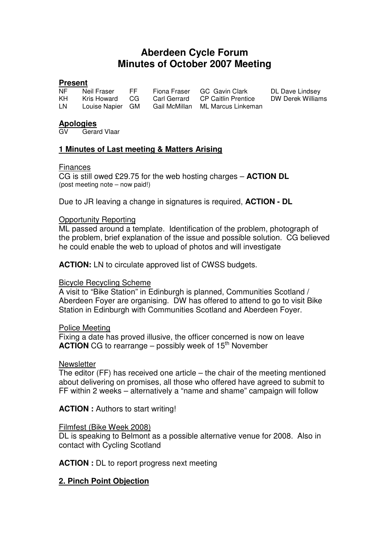# **Aberdeen Cycle Forum Minutes of October 2007 Meeting**

#### **Present**

| NF. | Neil Fraser   | FF. | Fiona Fra  |
|-----|---------------|-----|------------|
| KH. | Kris Howard   | CG  | Carl Gerra |
| LN  | Louise Napier | GM  | Gail McM   |

nser GC Gavin Clark DL Dave Lindsey<br>Tard CP Caitlin Prentice DW Derek Williams **CP Caitlin Prentice Lillan** ML Marcus Linkeman

#### **Apologies**

Gerard Vlaar

# **1 Minutes of Last meeting & Matters Arising**

## Finances

CG is still owed £29.75 for the web hosting charges – **ACTION DL** (post meeting note – now paid!)

Due to JR leaving a change in signatures is required, **ACTION - DL**

## Opportunity Reporting

ML passed around a template. Identification of the problem, photograph of the problem, brief explanation of the issue and possible solution. CG believed he could enable the web to upload of photos and will investigate

**ACTION:** LN to circulate approved list of CWSS budgets.

# Bicycle Recycling Scheme

A visit to "Bike Station" in Edinburgh is planned, Communities Scotland / Aberdeen Foyer are organising. DW has offered to attend to go to visit Bike Station in Edinburgh with Communities Scotland and Aberdeen Foyer.

#### Police Meeting

Fixing a date has proved illusive, the officer concerned is now on leave **ACTION** CG to rearrange – possibly week of  $15<sup>th</sup>$  November

#### **Newsletter**

The editor (FF) has received one article – the chair of the meeting mentioned about delivering on promises, all those who offered have agreed to submit to FF within 2 weeks – alternatively a "name and shame" campaign will follow

**ACTION :** Authors to start writing!

#### Filmfest (Bike Week 2008)

DL is speaking to Belmont as a possible alternative venue for 2008. Also in contact with Cycling Scotland

**ACTION :** DL to report progress next meeting

# **2. Pinch Point Objection**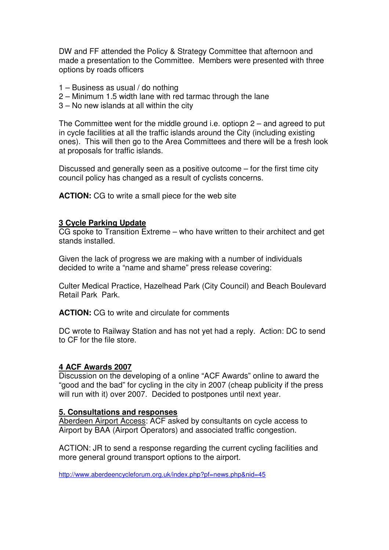DW and FF attended the Policy & Strategy Committee that afternoon and made a presentation to the Committee. Members were presented with three options by roads officers

- 1 Business as usual / do nothing
- 2 Minimum 1.5 width lane with red tarmac through the lane
- 3 No new islands at all within the city

The Committee went for the middle ground i.e. optiopn 2 – and agreed to put in cycle facilities at all the traffic islands around the City (including existing ones). This will then go to the Area Committees and there will be a fresh look at proposals for traffic islands.

Discussed and generally seen as a positive outcome – for the first time city council policy has changed as a result of cyclists concerns.

**ACTION:** CG to write a small piece for the web site

## **3 Cycle Parking Update**

CG spoke to Transition Extreme – who have written to their architect and get stands installed.

Given the lack of progress we are making with a number of individuals decided to write a "name and shame" press release covering:

Culter Medical Practice, Hazelhead Park (City Council) and Beach Boulevard Retail Park Park.

**ACTION:** CG to write and circulate for comments

DC wrote to Railway Station and has not yet had a reply. Action: DC to send to CF for the file store.

#### **4 ACF Awards 2007**

Discussion on the developing of a online "ACF Awards" online to award the "good and the bad" for cycling in the city in 2007 (cheap publicity if the press will run with it) over 2007. Decided to postpones until next year.

#### **5. Consultations and responses**

Aberdeen Airport Access: ACF asked by consultants on cycle access to Airport by BAA (Airport Operators) and associated traffic congestion.

ACTION: JR to send a response regarding the current cycling facilities and more general ground transport options to the airport.

http://www.aberdeencycleforum.org.uk/index.php?pf=news.php&nid=45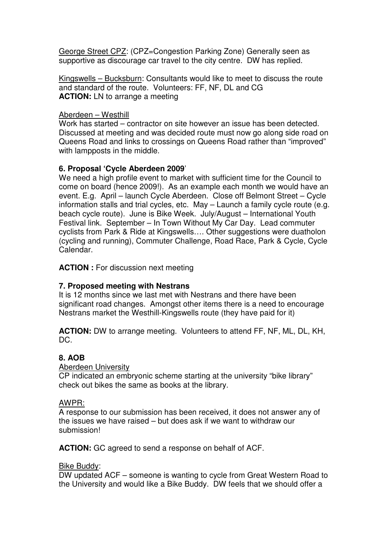George Street CPZ: (CPZ=Congestion Parking Zone) Generally seen as supportive as discourage car travel to the city centre. DW has replied.

Kingswells – Bucksburn: Consultants would like to meet to discuss the route and standard of the route. Volunteers: FF, NF, DL and CG **ACTION:** LN to arrange a meeting

# Aberdeen – Westhill

Work has started – contractor on site however an issue has been detected. Discussed at meeting and was decided route must now go along side road on Queens Road and links to crossings on Queens Road rather than "improved" with lampposts in the middle.

# **6. Proposal 'Cycle Aberdeen 2009**'

We need a high profile event to market with sufficient time for the Council to come on board (hence 2009!). As an example each month we would have an event. E.g. April – launch Cycle Aberdeen. Close off Belmont Street – Cycle information stalls and trial cycles, etc. May – Launch a family cycle route (e.g. beach cycle route). June is Bike Week. July/August – International Youth Festival link. September – In Town Without My Car Day. Lead commuter cyclists from Park & Ride at Kingswells…. Other suggestions were duatholon (cycling and running), Commuter Challenge, Road Race, Park & Cycle, Cycle Calendar.

**ACTION :** For discussion next meeting

# **7. Proposed meeting with Nestrans**

It is 12 months since we last met with Nestrans and there have been significant road changes. Amongst other items there is a need to encourage Nestrans market the Westhill-Kingswells route (they have paid for it)

**ACTION:** DW to arrange meeting. Volunteers to attend FF, NF, ML, DL, KH, DC.

# **8. AOB**

# Aberdeen University

CP indicated an embryonic scheme starting at the university "bike library" check out bikes the same as books at the library.

# AWPR:

A response to our submission has been received, it does not answer any of the issues we have raised – but does ask if we want to withdraw our submission!

**ACTION:** GC agreed to send a response on behalf of ACF.

# Bike Buddy:

DW updated ACF – someone is wanting to cycle from Great Western Road to the University and would like a Bike Buddy. DW feels that we should offer a